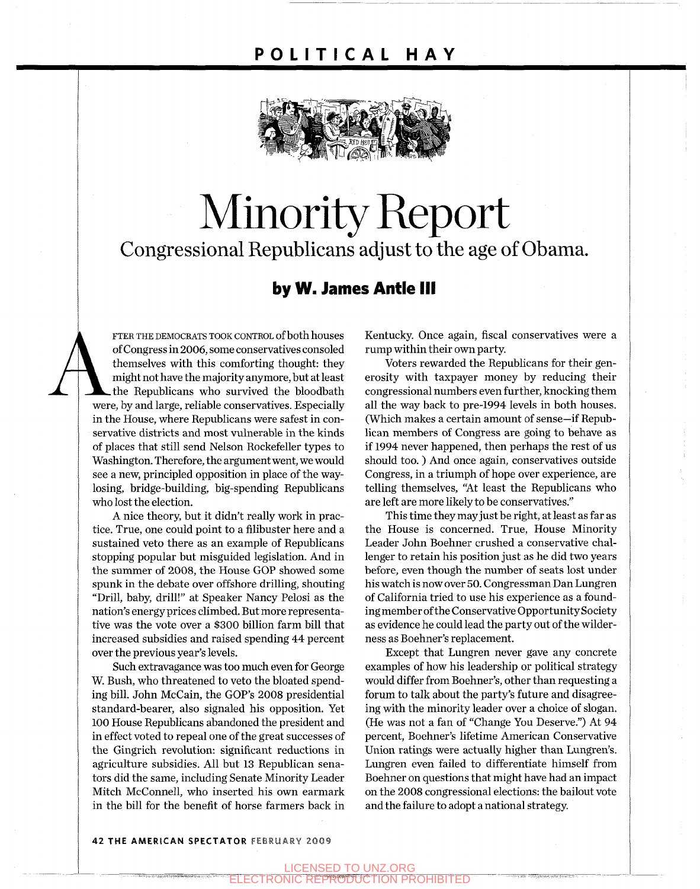### **POLITICA L HA Y**



# Minority Report Congressional Republicans adjust to the age of Obama.

#### **by W. James Antle III**

FTER THE DEMOCRATS TOOK CONTROL of both houses<br>of Congress in 2006, some conservatives consoled<br>themselves with this comforting thought: they<br>might not have the majority anymore, but at least<br>the Republicans who survived t of Congress in 2006, some conservatives consoled themselves with this comforting thought: they might not have the majority anymore, but at least the Republicans who survived the bloodbath were, by and large, reliable conservatives. Especially in the House, where Republicans were safest in conservative districts and most vulnerable in the kinds of places that still send Nelson Rockefeller types to Washington. Therefore, the argument went, we would see a new, principled opposition in place of the waylosing, bridge-building, big-spending Republicans who lost the election.

> A nice theory, but it didn't really work in practice. True, one could point to a filibuster here and a sustained veto there as an example of Republicans stopping popular but misguided legislation. And in the summer of 2008, the House GOP showed some spunk in the debate over offshore drilling, shouting "Drill, baby, drill!" at Speaker Nancy Pelosi as the nation's energy prices climbed. But more representative was the vote over a \$300 billion farm bill that increased subsidies and raised spending 44 percent over the previous year's levels.

> Such extravagance was too much even for George W. Bush, who threatened to veto the bloated spending bill. John McCain, the GOP's 2008 presidential standard-bearer, also signaled his opposition. Yet 100 House Republicans abandoned the president and in effect voted to repeal one of the great successes of the Gingrich revolution: significant reductions in agriculture subsidies. All but 13 Republican senators did the same, including Senate Minority Leader Mitch McConnell, who inserted his own earmark in the bill for the benefit of horse farmers back in

Kentucky. Once again, fiscal conservatives were a rump within their own party.

Voters rewarded the Republicans for their generosity with taxpayer money by reducing their congressional numbers even further, knocking them all the way back to pre-1994 levels in both houses. (Which makes a certain amount of sense—if Republican members of Congress are going to behave as if 1994 never happened, then perhaps the rest of us should too. ) And once again, conservatives outside Congress, in a triumph of hope over experience, are telling themselves, "At least the Republicans who are left are more likely to be conservatives."

This time they may just be right, at least as far as the House is concerned. True, House Minority Leader John Boehner crushed a conservative challenger to retain his position just as he did two years before, even though the number of seats lost under his watch is now over 50. Congressman Dan Lungren of California tried to use his experience as a founding member of the Conservative Opportunity Society as evidence he could lead the party out of the wilderness as Boehner's replacement.

Except that Lungren never gave any concrete examples of how his leadership or political strategy would differ from Boehner's, other than requesting a forum to talk about the party's future and disagreeing with the minority leader over a choice of slogan. (He was not a fan of "Change You Deserve.") At 94 percent, Boehner's lifetime American Conservative Union ratings were actually higher than Lungren's. Lungren even failed to differentiate himself from Boehner on questions that might have had an impact on the 2008 congressional elections: the bailout vote and the failure to adopt a national strategy.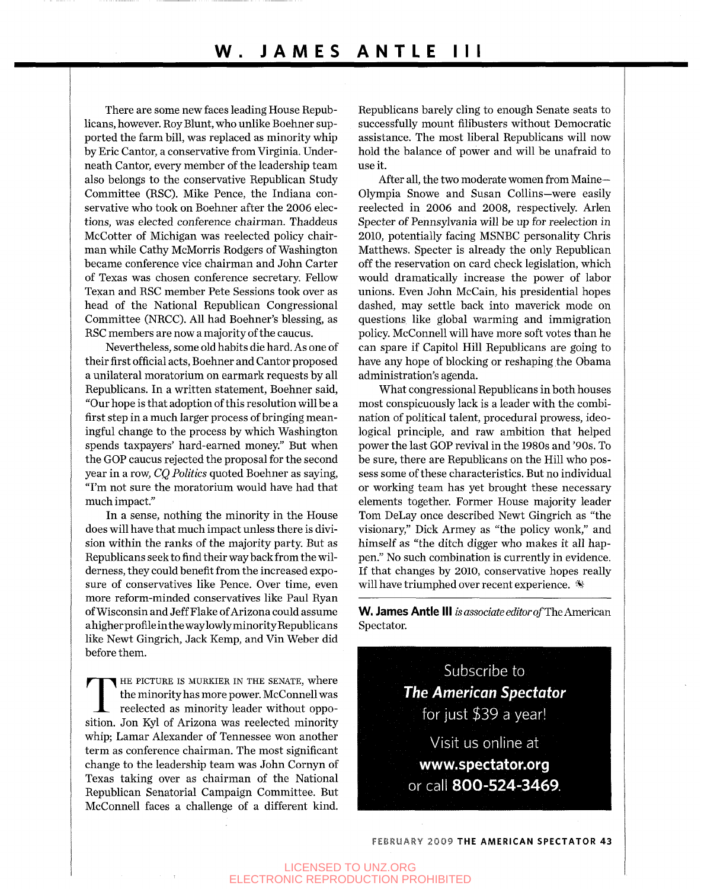There are some new faces leading House Republicans, however. Roy Blunt, who unlike Boehner supported the farm bill, was replaced as minority whip by Eric Cantor, a conservative from Virginia. Underneath Cantor, every member of the leadership team also belongs to the conservative Republican Study Committee (RSC). Mike Pence, the Indiana conservative who took on Boehner after the 2006 elections, was elected conference chairman. Thaddeus McCotter of Michigan was reelected policy chairman while Cathy McMorris Rodgers of Washington became conference vice chairman and John Carter of Texas was chosen conference secretary. Fellow Texan and RSC member Pete Sessions took over as head of the National Republican Congressional Committee (NRCC). All had Boehner's blessing, as RSC members are now a majority of the caucus.

Nevertheless, some old habits die hard. As one of their first official acts, Boehner and Cantor proposed a unilateral moratorium on earmark requests by all Republicans. In a written statement, Boehner said, "Our hope is that adoption of this resolution will be a first step in a much larger process of bringing meaningful change to the process by which Washington spends taxpayers' hard-earned money." But when the GOP caucus rejected the proposal for the second year in a row, *CQ Politics* quoted Boehner as saying, "I'm not sure the moratorium would have had that much impact."

In a sense, nothing the minority in the House does will have that much impact unless there is division within the ranks of the majority party. But as Republicans seek to find their way back from the wilderness, they could benefit from the increased exposure of conservatives like Pence. Over time, even more reform-minded conservatives like Paul Ryan of Wisconsin and Jeff Flake of Arizona could assume ahigherprofile in the way lowlyminority Republicans like Newt Gingrich, Jack Kemp, and Vin Weber did before them.

THE PICTURE IS MURKIER IN THE SENATE, where the minority has more power. McConnell was reelected as minority leader without opposition. Jon Kyl of Arizona was reelected minority HE PICTURE IS MURKIER IN THE SENATE, where the minority has more power. McConnell was reelected as minority leader without oppowhip; Lamar Alexander of Tennessee won another term as conference chairman. The most significant change to the leadership team was John Cornyn of Texas taking over as chairman of the National Republican Senatorial Campaign Committee. But McConnell faces a challenge of a different kind.

Republicans barely cling to enough Senate seats to successfully mount filibusters without Democratic assistance. The most liberal Republicans will now hold the balance of power and will be unafraid to use it.

After all, the two moderate women from Maine— Olympia Snowe and Susan Collins—were easily reelected in 2006 and 2008, respectively. Arlen Specter of Pennsylvania will be up for reelection in 2010, potentially facing MSNBC personality Chris Matthews. Specter is already the only Republican off the reservation on card check legislation, which would dramatically increase the power of labor unions. Even John McCain, his presidential hopes dashed, may settle back into maverick mode on questions like global warming and immigration policy. McConnell will have more soft votes than he can spare if Capitol Hill Republicans are going to have any hope of blocking or reshaping the Obama administration's agenda.

What congressional Republicans in both houses most conspicuously lack is a leader with the combination of political talent, procedural prowess, ideological principle, and raw ambition that helped power the last GOP revival in the 1980s and '90s. To be sure, there are Republicans on the Hill who possess some of these characteristics. But no individual or working team has yet brought these necessary elements together. Former House majority leader Tom DeLay once described Newt Gingrich as "the visionary," Dick Armey as "the policy wonk," and himself as "the ditch digger who makes it all happen." No such combination is currently in evidence. If that changes by 2010, conservative hopes really will have triumphed over recent experience.

**W. James Antle III** is associate editor of The American Spectator.



FEBRUARY 2009 THE AMERICAN SPECTATOR 43